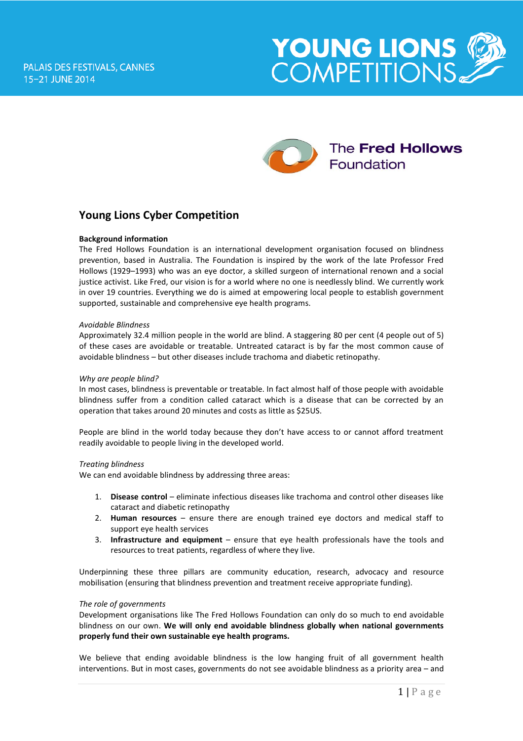



# **Young Lions Cyber Competition**

## **Background information**

The Fred Hollows Foundation is an international development organisation focused on blindness prevention, based in Australia. The Foundation is inspired by the work of the late Professor Fred Hollows (1929–1993) who was an eye doctor, a skilled surgeon of international renown and a social justice activist. Like Fred, our vision is for a world where no one is needlessly blind. We currently work in over 19 countries. Everything we do is aimed at empowering local people to establish government supported, sustainable and comprehensive eye health programs.

#### *Avoidable Blindness*

Approximately 32.4 million people in the world are blind. A staggering 80 per cent (4 people out of 5) of these cases are avoidable or treatable. Untreated cataract is by far the most common cause of avoidable blindness – but other diseases include trachoma and diabetic retinopathy.

#### *Why are people blind?*

In most cases, blindness is preventable or treatable. In fact almost half of those people with avoidable blindness suffer from a condition called cataract which is a disease that can be corrected by an operation that takes around 20 minutes and costs as little as \$25US.

People are blind in the world today because they don't have access to or cannot afford treatment readily avoidable to people living in the developed world.

#### *Treating blindness*

We can end avoidable blindness by addressing three areas:

- 1. **Disease control** eliminate infectious diseases like trachoma and control other diseases like cataract and diabetic retinopathy
- 2. **Human resources** ensure there are enough trained eye doctors and medical staff to support eye health services
- 3. **Infrastructure and equipment** ensure that eye health professionals have the tools and resources to treat patients, regardless of where they live.

Underpinning these three pillars are community education, research, advocacy and resource mobilisation (ensuring that blindness prevention and treatment receive appropriate funding).

### *The role of governments*

Development organisations like The Fred Hollows Foundation can only do so much to end avoidable blindness on our own. **We will only end avoidable blindness globally when national governments properly fund their own sustainable eye health programs.**

We believe that ending avoidable blindness is the low hanging fruit of all government health interventions. But in most cases, governments do not see avoidable blindness as a priority area – and